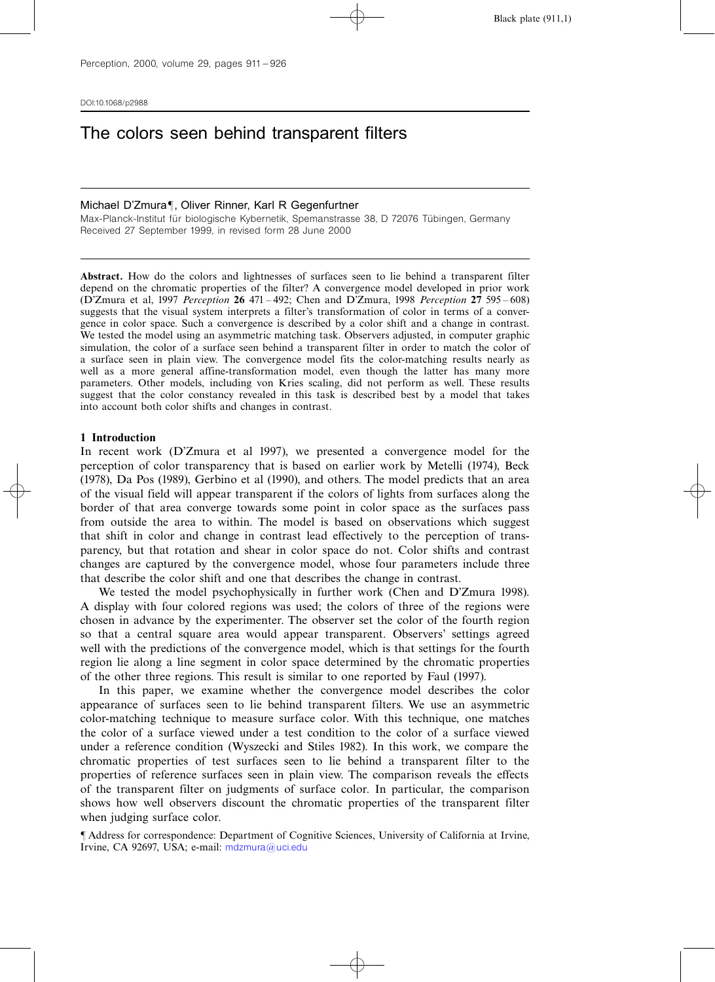DOI:10.1068/p2988

# The colors seen behind transparent filters

#### Michael D'Zmura¶, Oliver Rinner, Karl R Gegenfurtner

Max-Planck-Institut für biologische Kybernetik, Spemanstrasse 38, D 72076 Tübingen, Germany Received 27 September 1999, in revised form 28 June 2000

Abstract. How do the colors and lightnesses of surfaces seen to lie behind a transparent filter depend on the chromatic properties of the filter? A convergence model developed in prior work (D'Zmura et al, 1997 *Perception* 26 471 – 492; Chen and D'Zmura, 1998 *Perception* 27 595 – 608) suggests that the visual system interprets a filter's transformation of color in terms of a convergence in color space. Such a convergence is described by a color shift and a change in contrast. We tested the model using an asymmetric matching task. Observers adjusted, in computer graphic simulation, the color of a surface seen behind a transparent filter in order to match the color of a surface seen in plain view. The convergence model fits the color-matching results nearly as well as a more general affine-transformation model, even though the latter has many more parameters. Other models, including von Kries scaling, did not perform as well. These results suggest that the color constancy revealed in this task is described best by a model that takes into account both color shifts and changes in contrast.

#### 1 Introduction

In recent work (D'Zmura et al 1997), we presented a convergence model for the perception of color transparency that is based on earlier work by Metelli (1974), Beck (1978), Da Pos (1989), Gerbino et al (1990), and others. The model predicts that an area of the visual field will appear transparent if the colors of lights from surfaces along the border of that area converge towards some point in color space as the surfaces pass from outside the area to within. The model is based on observations which suggest that shift in color and change in contrast lead effectively to the perception of transparency, but that rotation and shear in color space do not. Color shifts and contrast changes are captured by the convergence model, whose four parameters include three that describe the color shift and one that describes the change in contrast.

We tested the model psychophysically in further work (Chen and D'Zmura 1998). A display with four colored regions was used; the colors of three of the regions were chosen in advance by the experimenter. The observer set the color of the fourth region so that a central square area would appear transparent. Observers' settings agreed well with the predictions of the convergence model, which is that settings for the fourth region lie along a line segment in color space determined by the chromatic properties of the other three regions. This result is similar to one reported by Faul (1997).

In this paper, we examine whether the convergence model describes the color appearance of surfaces seen to lie behind transparent filters. We use an asymmetric color-matching technique to measure surface color. With this technique, one matches the color of a surface viewed under a test condition to the color of a surface viewed under a reference condition (Wyszecki and Stiles 1982). In this work, we compare the chromatic properties of test surfaces seen to lie behind a transparent filter to the properties of reference surfaces seen in plain view. The comparison reveals the effects of the transparent filter on judgments of surface color. In particular, the comparison shows how well observers discount the chromatic properties of the transparent filter when judging surface color.

ô Address for correspondence: Department of Cognitive Sciences, University of California at Irvine, Irvine, CA 92697, USA; e-mail: [mdzmura@uci.edu](mailto:mdzmura@uci.edu)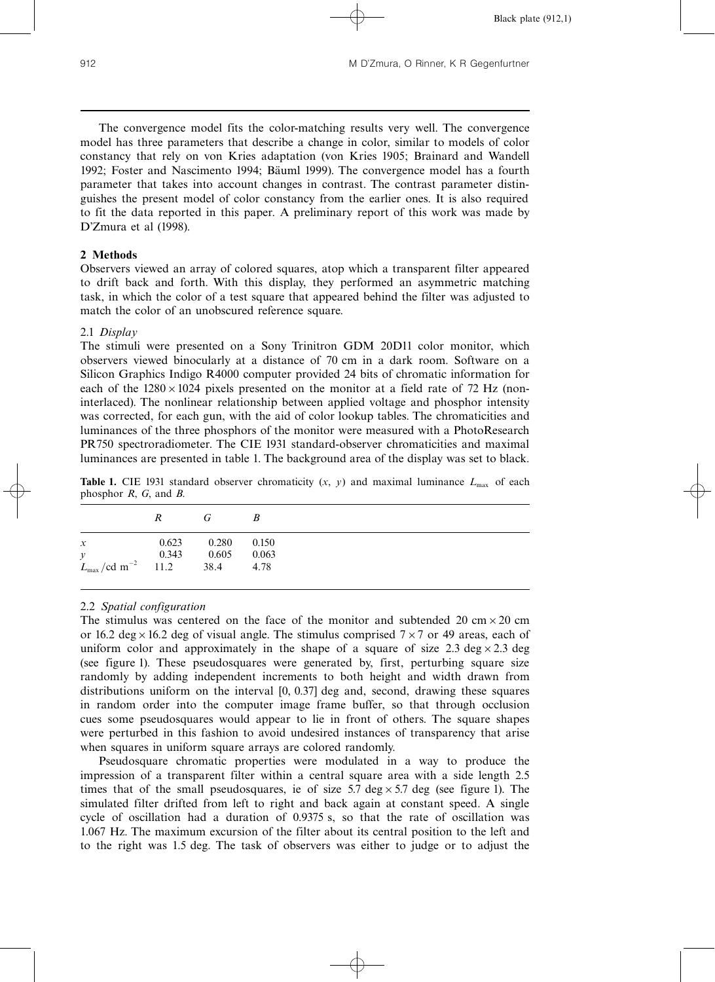The convergence model fits the color-matching results very well. The convergence model has three parameters that describe a change in color, similar to models of color constancy that rely on von Kries adaptation (von Kries 1905; Brainard and Wandell 1992; Foster and Nascimento 1994; Bäuml 1999). The convergence model has a fourth parameter that takes into account changes in contrast. The contrast parameter distinguishes the present model of color constancy from the earlier ones. It is also required to fit the data reported in this paper. A preliminary report of this work was made by D'Zmura et al (1998).

# 2 Methods

Observers viewed an array of colored squares, atop which a transparent filter appeared to drift back and forth. With this display, they performed an asymmetric matching task, in which the color of a test square that appeared behind the filter was adjusted to match the color of an unobscured reference square.

# 2.1 Display

The stimuli were presented on a Sony Trinitron GDM 20D11 color monitor, which observers viewed binocularly at a distance of 70 cm in a dark room. Software on a Silicon Graphics Indigo R4000 computer provided 24 bits of chromatic information for each of the  $1280 \times 1024$  pixels presented on the monitor at a field rate of 72 Hz (noninterlaced). The nonlinear relationship between applied voltage and phosphor intensity was corrected, for each gun, with the aid of color lookup tables. The chromaticities and luminances of the three phosphors of the monitor were measured with a PhotoResearch PR750 spectroradiometer. The CIE 1931 standard-observer chromaticities and maximal luminances are presented in table 1. The background area of the display was set to black.

|                                                                   | $\mathbb{R}^-$ | $\overline{G}$          | - B |  |  |  |  |  |
|-------------------------------------------------------------------|----------------|-------------------------|-----|--|--|--|--|--|
| $\mathcal{X}$                                                     |                | $0.623$ $0.280$ $0.150$ |     |  |  |  |  |  |
| $\mathcal{Y}$<br>$L_{\text{max}}/\text{cd m}^{-2}$ 11.2 38.4 4.78 |                | 0.343 0.605 0.063       |     |  |  |  |  |  |

**Table 1.** CIE 1931 standard observer chromaticity  $(x, y)$  and maximal luminance  $L_{\text{max}}$  of each phosphor  $R$ ,  $G$ , and  $B$ .

# 2.2 Spatial configuration

The stimulus was centered on the face of the monitor and subtended 20 cm  $\times$  20 cm or 16.2 deg $\times$ 16.2 deg of visual angle. The stimulus comprised 7 $\times$ 7 or 49 areas, each of uniform color and approximately in the shape of a square of size 2.3 deg  $\times$  2.3 deg (see figure 1). These pseudosquares were generated by, first, perturbing square size randomly by adding independent increments to both height and width drawn from distributions uniform on the interval [0, 0.37] deg and, second, drawing these squares in random order into the computer image frame buffer, so that through occlusion cues some pseudosquares would appear to lie in front of others. The square shapes were perturbed in this fashion to avoid undesired instances of transparency that arise when squares in uniform square arrays are colored randomly.

Pseudosquare chromatic properties were modulated in a way to produce the impression of a transparent filter within a central square area with a side length 2.5 times that of the small pseudosquares, ie of size 5.7 deg  $\times$  5.7 deg (see figure 1). The simulated filter drifted from left to right and back again at constant speed. A single cycle of oscillation had a duration of 0.9375 s, so that the rate of oscillation was 1.067 Hz. The maximum excursion of the filter about its central position to the left and to the right was 1.5 deg. The task of observers was either to judge or to adjust the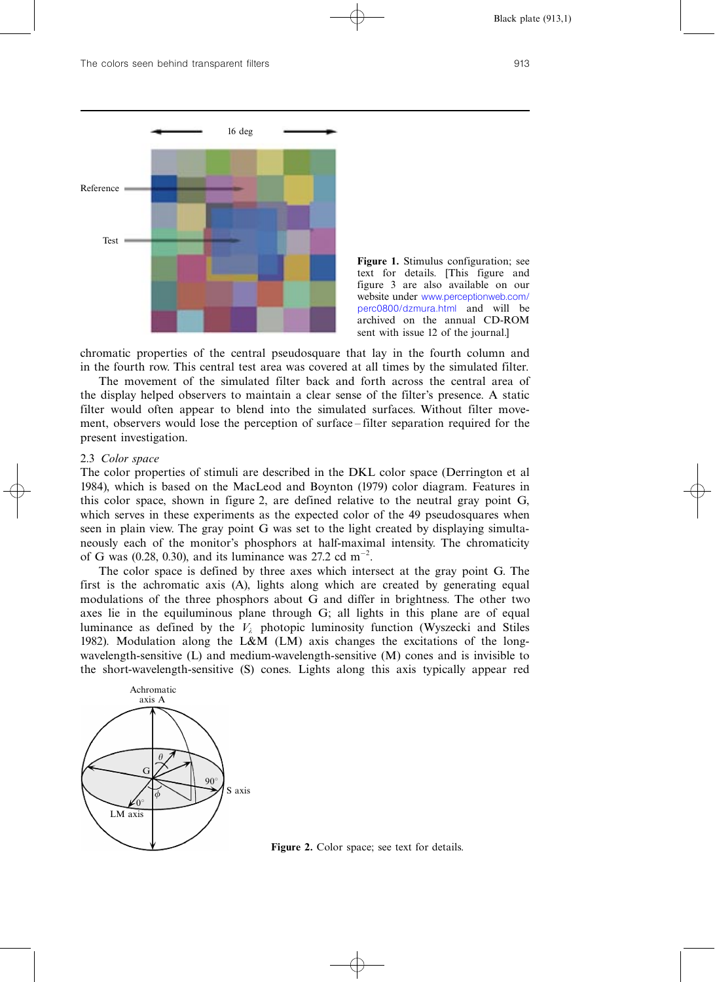

Figure 1. Stimulus configuration; see text for details. [This figure and figure 3 are also available on our website under [www.perceptionweb.com/](http://) [perc0800/dzmura.html](http://) and will be archived on the annual CD-ROM sent with issue 12 of the journal.]

chromatic properties of the central pseudosquare that lay in the fourth column and in the fourth row. This central test area was covered at all times by the simulated filter.

The movement of the simulated filter back and forth across the central area of the display helped observers to maintain a clear sense of the filter's presence. A static filter would often appear to blend into the simulated surfaces. Without filter movement, observers would lose the perception of surface – filter separation required for the present investigation.

### 2.3 Color space

The color properties of stimuli are described in the DKL color space (Derrington et al 1984), which is based on the MacLeod and Boynton (1979) color diagram. Features in this color space, shown in figure 2, are defined relative to the neutral gray point G, which serves in these experiments as the expected color of the 49 pseudosquares when seen in plain view. The gray point G was set to the light created by displaying simultaneously each of the monitor's phosphors at half-maximal intensity. The chromaticity of G was (0.28, 0.30), and its luminance was 27.2 cd m<sup>-2</sup>.

The color space is defined by three axes which intersect at the gray point G. The first is the achromatic axis (A), lights along which are created by generating equal modulations of the three phosphors about G and differ in brightness. The other two axes lie in the equiluminous plane through G; all lights in this plane are of equal luminance as defined by the  $V_{\lambda}$  photopic luminosity function (Wyszecki and Stiles 1982). Modulation along the L&M (LM) axis changes the excitations of the longwavelength-sensitive (L) and medium-wavelength-sensitive (M) cones and is invisible to the short-wavelength-sensitive (S) cones. Lights along this axis typically appear red



Figure 2. Color space; see text for details.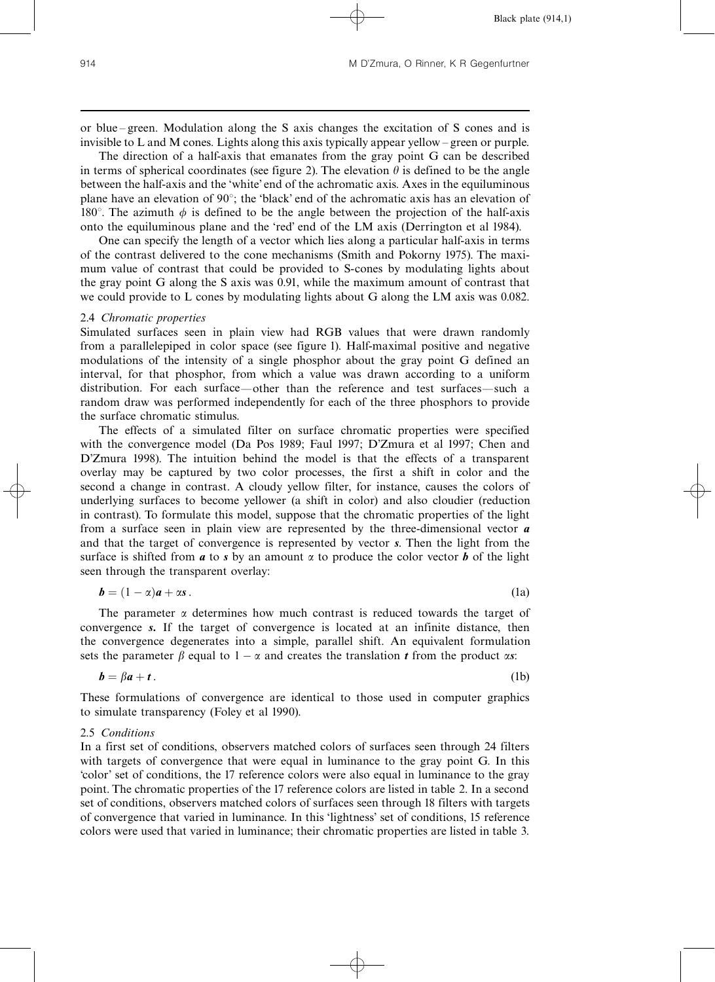or blue – green. Modulation along the S axis changes the excitation of S cones and is invisible to L and M cones. Lights along this axis typically appear yellow ^ green or purple.

The direction of a half-axis that emanates from the gray point G can be described in terms of spherical coordinates (see figure 2). The elevation  $\theta$  is defined to be the angle between the half-axis and the `white' end of the achromatic axis. Axes in the equiluminous plane have an elevation of  $90^\circ$ ; the 'black' end of the achromatic axis has an elevation of 180°. The azimuth  $\phi$  is defined to be the angle between the projection of the half-axis onto the equiluminous plane and the `red' end of the LM axis (Derrington et al 1984).

One can specify the length of a vector which lies along a particular half-axis in terms of the contrast delivered to the cone mechanisms (Smith and Pokorny 1975). The maximum value of contrast that could be provided to S-cones by modulating lights about the gray point G along the S axis was 0.91, while the maximum amount of contrast that we could provide to L cones by modulating lights about G along the LM axis was 0.082.

### 2.4 Chromatic properties

Simulated surfaces seen in plain view had RGB values that were drawn randomly from a parallelepiped in color space (see figure 1). Half-maximal positive and negative modulations of the intensity of a single phosphor about the gray point G defined an interval, for that phosphor, from which a value was drawn according to a uniform distribution. For each surface—other than the reference and test surfaces—such a random draw was performed independently for each of the three phosphors to provide the surface chromatic stimulus.

The effects of a simulated filter on surface chromatic properties were specified with the convergence model (Da Pos 1989; Faul 1997; D'Zmura et al 1997; Chen and D'Zmura 1998). The intuition behind the model is that the effects of a transparent overlay may be captured by two color processes, the first a shift in color and the second a change in contrast. A cloudy yellow filter, for instance, causes the colors of underlying surfaces to become yellower (a shift in color) and also cloudier (reduction in contrast). To formulate this model, suppose that the chromatic properties of the light from a surface seen in plain view are represented by the three-dimensional vector  $\boldsymbol{a}$ and that the target of convergence is represented by vector s. Then the light from the surface is shifted from  $\boldsymbol{a}$  to  $\boldsymbol{s}$  by an amount  $\alpha$  to produce the color vector  $\boldsymbol{b}$  of the light seen through the transparent overlay:

$$
\boldsymbol{b} = (1 - \alpha)\boldsymbol{a} + \alpha s. \tag{1a}
$$

The parameter  $\alpha$  determines how much contrast is reduced towards the target of convergence s. If the target of convergence is located at an infinite distance, then the convergence degenerates into a simple, parallel shift. An equivalent formulation sets the parameter  $\beta$  equal to  $1 - \alpha$  and creates the translation t from the product  $\alpha s$ :

$$
b = \beta a + t. \tag{1b}
$$

These formulations of convergence are identical to those used in computer graphics to simulate transparency (Foley et al 1990).

#### 2.5 Conditions

In a first set of conditions, observers matched colors of surfaces seen through 24 filters with targets of convergence that were equal in luminance to the gray point G. In this `color' set of conditions, the 17 reference colors were also equal in luminance to the gray point. The chromatic properties of the 17 reference colors are listed in table 2. In a second set of conditions, observers matched colors of surfaces seen through 18 filters with targets of convergence that varied in luminance. In this `lightness' set of conditions, 15 reference colors were used that varied in luminance; their chromatic properties are listed in table 3.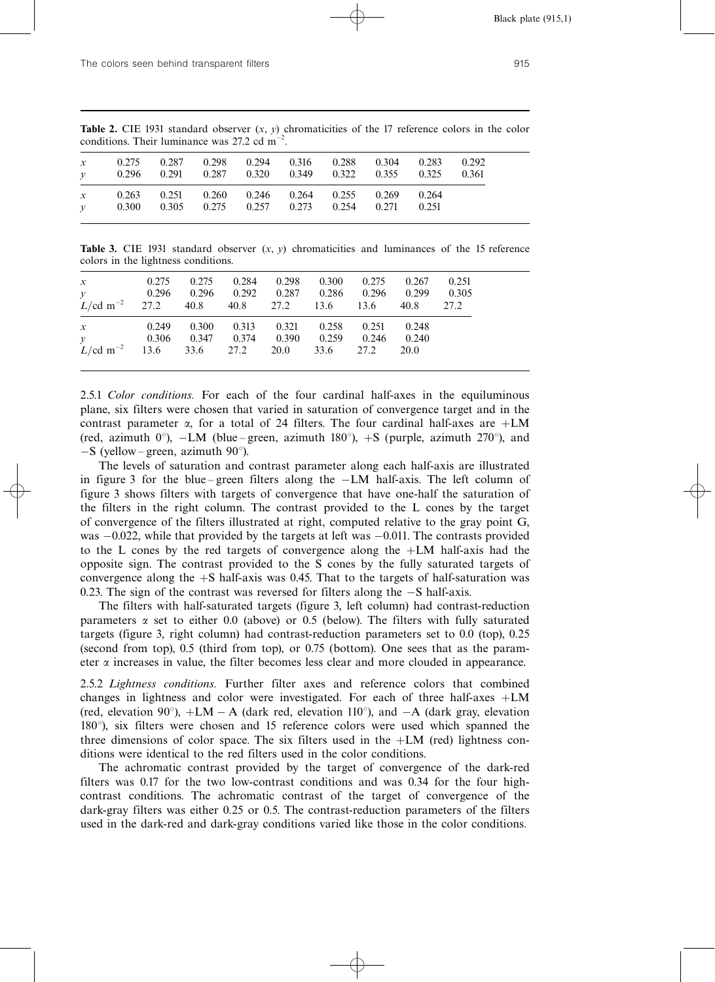| $\mathcal{X}$<br>$\mathcal{V}$ | 0.275          | $0.287$ $0.298$ $0.294$ $0.316$<br>$0.296$ $0.291$ $0.287$ $0.320$ $0.349$ $0.322$ $0.355$ $0.325$ $0.361$ |  | 0.288 0.304 | 0.283          | 0.292 |
|--------------------------------|----------------|------------------------------------------------------------------------------------------------------------|--|-------------|----------------|-------|
| $\mathcal{X}$<br>$\mathcal V$  | 0.263<br>0.300 | $0.251$ $0.260$ $0.246$ $0.264$ $0.255$ $0.269$<br>$0.305$ $0.275$ $0.257$ $0.273$ $0.254$ $0.271$         |  |             | 0.264<br>0.251 |       |

**Table 2.** CIE 1931 standard observer  $(x, y)$  chromaticities of the 17 reference colors in the color conditions. Their luminance was 27.2 cd  $m^{-2}$ .

**Table 3.** CIE 1931 standard observer  $(x, y)$  chromaticities and luminances of the 15 reference colors in the lightness conditions.

| $x = 0.275$<br>$\begin{array}{cccccc} y & 0.296 & 0.296 & 0.292 & 0.287 & 0.286 & 0.296 & 0.299 & 0.305 \\ L/\text{cd m}^{-2} & 27.2 & 40.8 & 40.8 & 27.2 & 13.6 & 13.6 & 40.8 & 27.2 \end{array}$ |  | $0.275$ $0.284$ $0.298$ $0.300$ $0.275$ $0.267$ $0.251$ |  |  |
|----------------------------------------------------------------------------------------------------------------------------------------------------------------------------------------------------|--|---------------------------------------------------------|--|--|
| x 0.249 0.300 0.313 0.321 0.258 0.251 0.248<br>y 0.306 0.347 0.374 0.390 0.259 0.246 0.240<br>L/cd m <sup>-2</sup> 13.6 33.6 27.2 20.0 33.6 27.2 20.0                                              |  |                                                         |  |  |

2.5.1 Color conditions. For each of the four cardinal half-axes in the equiluminous plane, six filters were chosen that varied in saturation of convergence target and in the contrast parameter  $\alpha$ , for a total of 24 filters. The four cardinal half-axes are  $+LM$ (red, azimuth  $0^{\circ}$ ),  $-LM$  (blue – green, azimuth 180 $^{\circ}$ ),  $+S$  (purple, azimuth 270 $^{\circ}$ ), and  $-S$  (yellow – green, azimuth 90 $^{\circ}$ ).

The levels of saturation and contrast parameter along each half-axis are illustrated in figure 3 for the blue–green filters along the  $-LM$  half-axis. The left column of figure 3 shows filters with targets of convergence that have one-half the saturation of the filters in the right column. The contrast provided to the L cones by the target of convergence of the filters illustrated at right, computed relative to the gray point G, was  $-0.022$ , while that provided by the targets at left was  $-0.011$ . The contrasts provided to the L cones by the red targets of convergence along the LM half-axis had the opposite sign. The contrast provided to the S cones by the fully saturated targets of convergence along the  $+S$  half-axis was 0.45. That to the targets of half-saturation was 0.23. The sign of the contrast was reversed for filters along the  $-S$  half-axis.

The filters with half-saturated targets (figure 3, left column) had contrast-reduction parameters  $\alpha$  set to either 0.0 (above) or 0.5 (below). The filters with fully saturated targets (figure 3, right column) had contrast-reduction parameters set to 0.0 (top), 0.25 (second from top), 0.5 (third from top), or 0.75 (bottom). One sees that as the parameter  $\alpha$  increases in value, the filter becomes less clear and more clouded in appearance.

2.5.2 Lightness conditions. Further filter axes and reference colors that combined changes in lightness and color were investigated. For each of three half-axes  $+LM$ (red, elevation 90°),  $+LM - A$  (dark red, elevation 110°), and  $-A$  (dark gray, elevation  $180^\circ$ ), six filters were chosen and 15 reference colors were used which spanned the three dimensions of color space. The six filters used in the  $+LM$  (red) lightness conditions were identical to the red filters used in the color conditions.

The achromatic contrast provided by the target of convergence of the dark-red filters was 0.17 for the two low-contrast conditions and was 0.34 for the four highcontrast conditions. The achromatic contrast of the target of convergence of the dark-gray filters was either 0.25 or 0.5. The contrast-reduction parameters of the filters used in the dark-red and dark-gray conditions varied like those in the color conditions.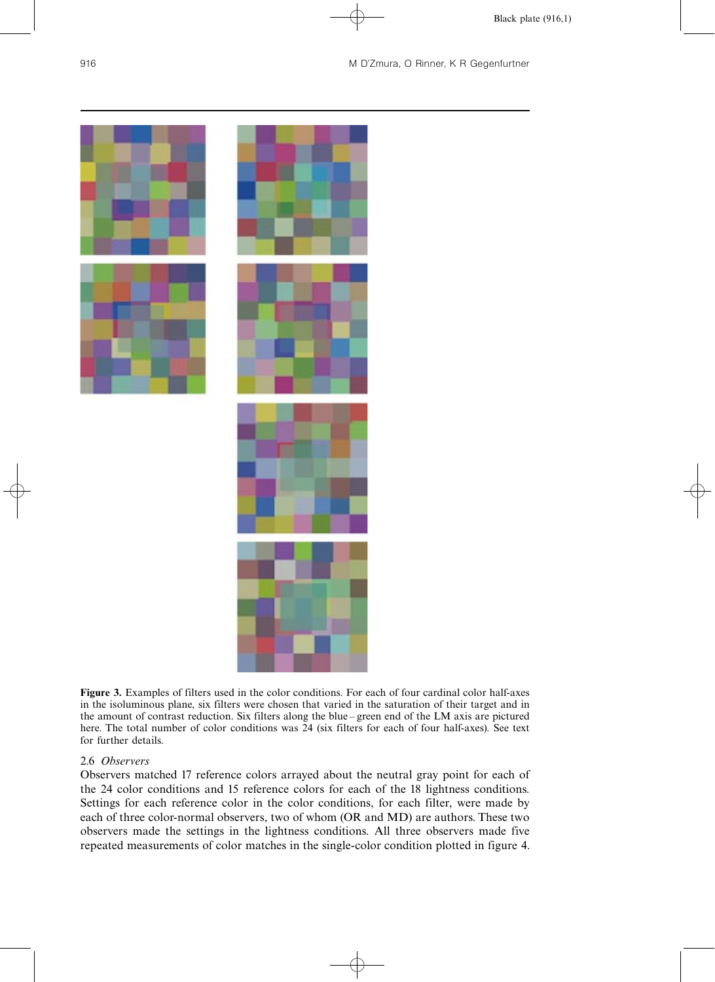

Figure 3. Examples of filters used in the color conditions. For each of four cardinal color half-axes in the isoluminous plane, six filters were chosen that varied in the saturation of their target and in the amount of contrast reduction. Six filters along the blue – green end of the LM axis are pictured here. The total number of color conditions was 24 (six filters for each of four half-axes). See text for further details.

# 2.6 Observers

Observers matched 17 reference colors arrayed about the neutral gray point for each of the 24 color conditions and 15 reference colors for each of the 18 lightness conditions. Settings for each reference color in the color conditions, for each filter, were made by each of three color-normal observers, two of whom (OR and MD) are authors. These two observers made the settings in the lightness conditions. All three observers made five repeated measurements of color matches in the single-color condition plotted in figure 4.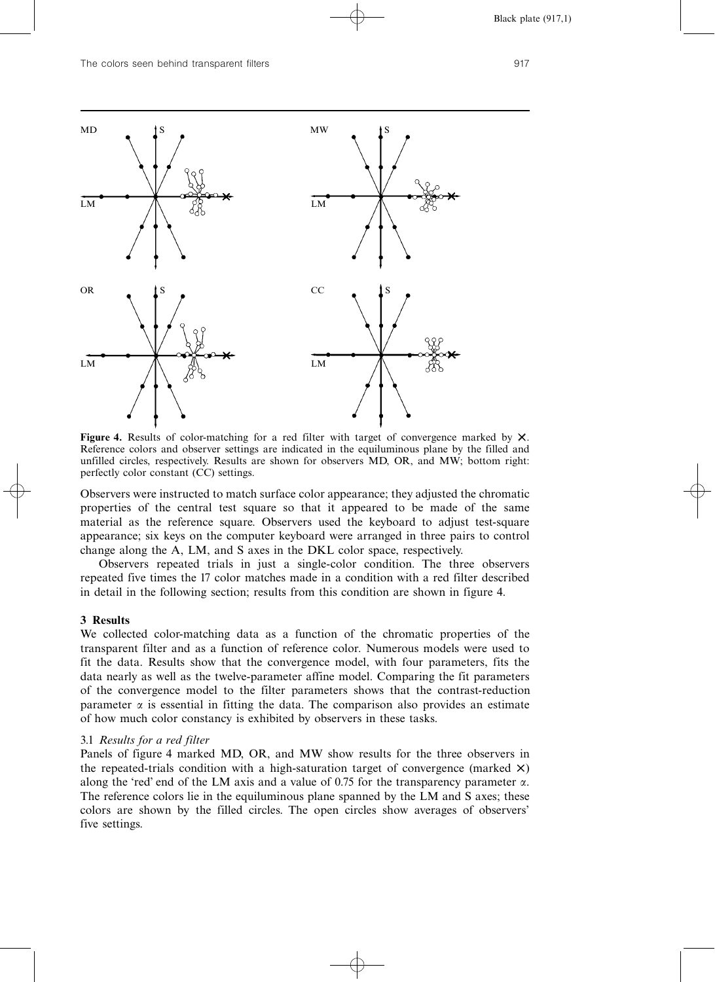

Figure 4. Results of color-matching for a red filter with target of convergence marked by  $X$ . Reference colors and observer settings are indicated in the equiluminous plane by the filled and unfilled circles, respectively. Results are shown for observers MD, OR, and MW; bottom right: perfectly color constant (CC) settings.

Observers were instructed to match surface color appearance; they adjusted the chromatic properties of the central test square so that it appeared to be made of the same material as the reference square. Observers used the keyboard to adjust test-square appearance; six keys on the computer keyboard were arranged in three pairs to control change along the A, LM, and S axes in the DKL color space, respectively.

Observers repeated trials in just a single-color condition. The three observers repeated five times the 17 color matches made in a condition with a red filter described in detail in the following section; results from this condition are shown in figure 4.

### 3 Results

We collected color-matching data as a function of the chromatic properties of the transparent filter and as a function of reference color. Numerous models were used to fit the data. Results show that the convergence model, with four parameters, fits the data nearly as well as the twelve-parameter affine model. Comparing the fit parameters of the convergence model to the filter parameters shows that the contrast-reduction parameter  $\alpha$  is essential in fitting the data. The comparison also provides an estimate of how much color constancy is exhibited by observers in these tasks.

# 3.1 Results for a red filter

Panels of figure 4 marked MD, OR, and MW show results for the three observers in the repeated-trials condition with a high-saturation target of convergence (marked  $\times$ ) along the 'red' end of the LM axis and a value of 0.75 for the transparency parameter  $\alpha$ . The reference colors lie in the equiluminous plane spanned by the LM and S axes; these colors are shown by the filled circles. The open circles show averages of observers' five settings.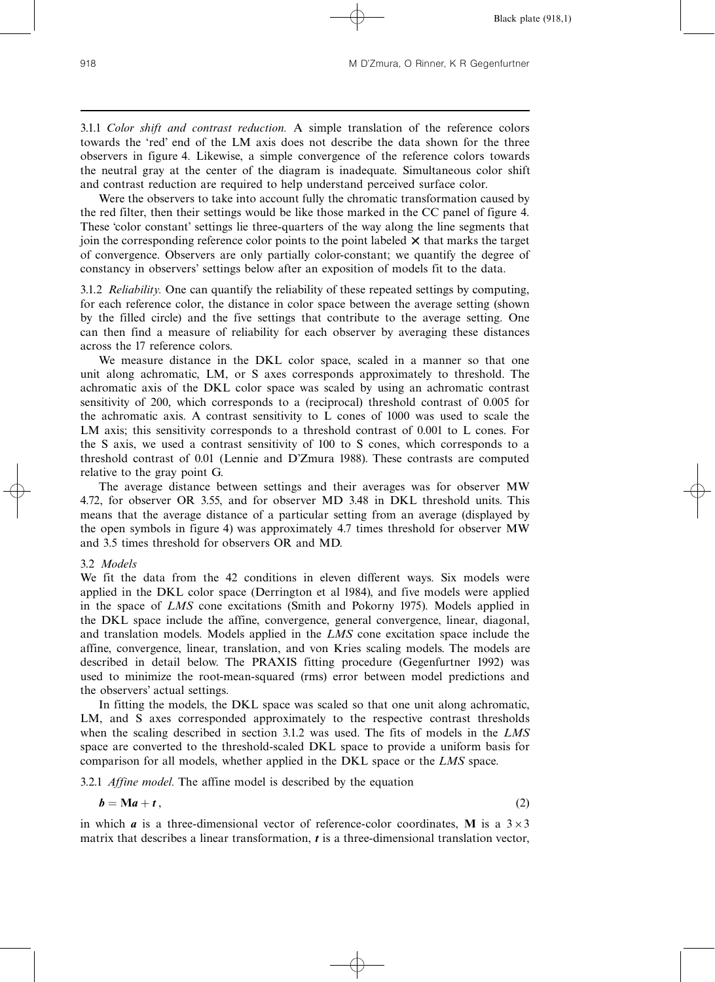3.1.1 Color shift and contrast reduction. A simple translation of the reference colors towards the 'red' end of the LM axis does not describe the data shown for the three observers in figure 4. Likewise, a simple convergence of the reference colors towards the neutral gray at the center of the diagram is inadequate. Simultaneous color shift and contrast reduction are required to help understand perceived surface color.

Were the observers to take into account fully the chromatic transformation caused by the red filter, then their settings would be like those marked in the CC panel of figure 4. These `color constant' settings lie three-quarters of the way along the line segments that join the corresponding reference color points to the point labeled  $\times$  that marks the target of convergence. Observers are only partially color-constant; we quantify the degree of constancy in observers' settings below after an exposition of models fit to the data.

3.1.2 *Reliability*. One can quantify the reliability of these repeated settings by computing, for each reference color, the distance in color space between the average setting (shown by the filled circle) and the five settings that contribute to the average setting. One can then find a measure of reliability for each observer by averaging these distances across the 17 reference colors.

We measure distance in the DKL color space, scaled in a manner so that one unit along achromatic, LM, or S axes corresponds approximately to threshold. The achromatic axis of the DKL color space was scaled by using an achromatic contrast sensitivity of 200, which corresponds to a (reciprocal) threshold contrast of 0.005 for the achromatic axis. A contrast sensitivity to L cones of 1000 was used to scale the LM axis; this sensitivity corresponds to a threshold contrast of 0.001 to L cones. For the S axis, we used a contrast sensitivity of 100 to S cones, which corresponds to a threshold contrast of 0.01 (Lennie and D'Zmura 1988). These contrasts are computed relative to the gray point G.

The average distance between settings and their averages was for observer MW 4.72, for observer OR 3.55, and for observer MD 3.48 in DKL threshold units. This means that the average distance of a particular setting from an average (displayed by the open symbols in figure 4) was approximately 4.7 times threshold for observer MW and 3.5 times threshold for observers OR and MD.

### 3.2 Models

We fit the data from the 42 conditions in eleven different ways. Six models were applied in the DKL color space (Derrington et al 1984), and five models were applied in the space of LMS cone excitations (Smith and Pokorny 1975). Models applied in the DKL space include the affine, convergence, general convergence, linear, diagonal, and translation models. Models applied in the LMS cone excitation space include the affine, convergence, linear, translation, and von Kries scaling models. The models are described in detail below. The PRAXIS fitting procedure (Gegenfurtner 1992) was used to minimize the root-mean-squared (rms) error between model predictions and the observers' actual settings.

In fitting the models, the DKL space was scaled so that one unit along achromatic, LM, and S axes corresponded approximately to the respective contrast thresholds when the scaling described in section 3.1.2 was used. The fits of models in the LMS space are converted to the threshold-scaled DKL space to provide a uniform basis for comparison for all models, whether applied in the DKL space or the LMS space.

3.2.1 Affine model. The affine model is described by the equation

$$
b = Ma + t, \tag{2}
$$

in which **a** is a three-dimensional vector of reference-color coordinates, **M** is a  $3 \times 3$ matrix that describes a linear transformation,  $t$  is a three-dimensional translation vector,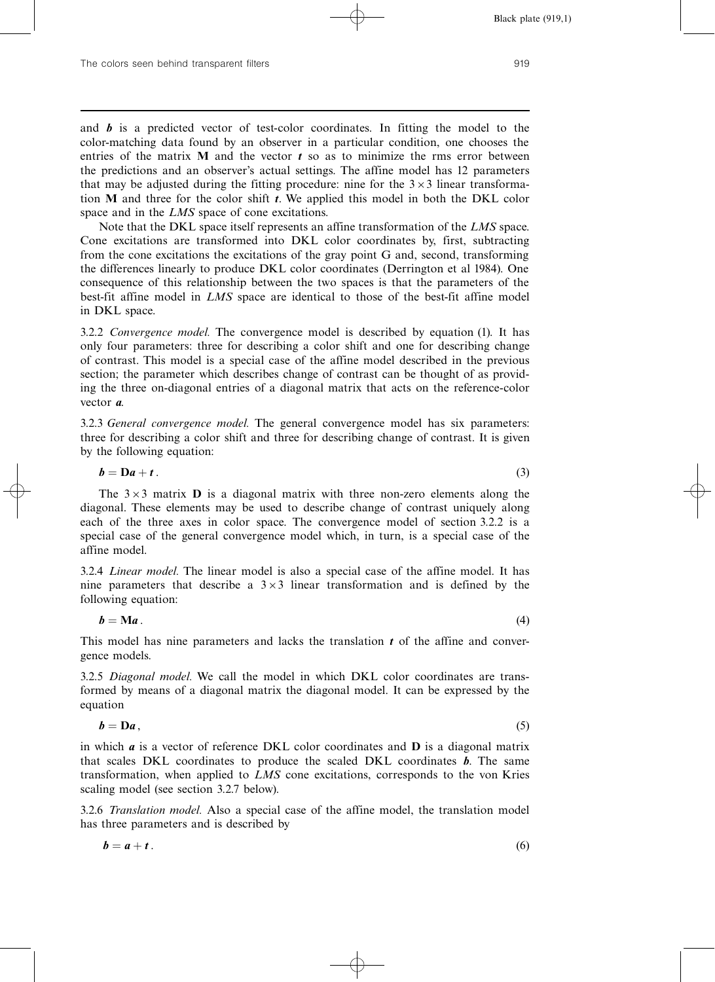and  $\boldsymbol{b}$  is a predicted vector of test-color coordinates. In fitting the model to the color-matching data found by an observer in a particular condition, one chooses the entries of the matrix  $M$  and the vector  $t$  so as to minimize the rms error between the predictions and an observer's actual settings. The affine model has 12 parameters that may be adjusted during the fitting procedure: nine for the  $3\times3$  linear transformation  $M$  and three for the color shift  $t$ . We applied this model in both the DKL color space and in the LMS space of cone excitations.

Note that the DKL space itself represents an affine transformation of the LMS space. Cone excitations are transformed into DKL color coordinates by, first, subtracting from the cone excitations the excitations of the gray point G and, second, transforming the differences linearly to produce DKL color coordinates (Derrington et al 1984). One consequence of this relationship between the two spaces is that the parameters of the best-fit affine model in LMS space are identical to those of the best-fit affine model in DKL space.

3.2.2 Convergence model. The convergence model is described by equation (1). It has only four parameters: three for describing a color shift and one for describing change of contrast. This model is a special case of the affine model described in the previous section; the parameter which describes change of contrast can be thought of as providing the three on-diagonal entries of a diagonal matrix that acts on the reference-color vector a.

3.2.3 General convergence model. The general convergence model has six parameters: three for describing a color shift and three for describing change of contrast. It is given by the following equation:

$$
b = Da + t. \tag{3}
$$

The  $3\times3$  matrix **D** is a diagonal matrix with three non-zero elements along the diagonal. These elements may be used to describe change of contrast uniquely along each of the three axes in color space. The convergence model of section 3.2.2 is a special case of the general convergence model which, in turn, is a special case of the affine model.

3.2.4 Linear model. The linear model is also a special case of the affine model. It has nine parameters that describe a  $3\times3$  linear transformation and is defined by the following equation:

$$
b = Ma. \tag{4}
$$

This model has nine parameters and lacks the translation  $t$  of the affine and convergence models.

3.2.5 Diagonal model. We call the model in which DKL color coordinates are transformed by means of a diagonal matrix the diagonal model. It can be expressed by the equation

$$
b = Da, \tag{5}
$$

in which  $a$  is a vector of reference DKL color coordinates and  $D$  is a diagonal matrix that scales DKL coordinates to produce the scaled DKL coordinates **. The same** transformation, when applied to LMS cone excitations, corresponds to the von Kries scaling model (see section 3.2.7 below).

3.2.6 Translation model. Also a special case of the affine model, the translation model has three parameters and is described by

$$
b = a + t. \tag{6}
$$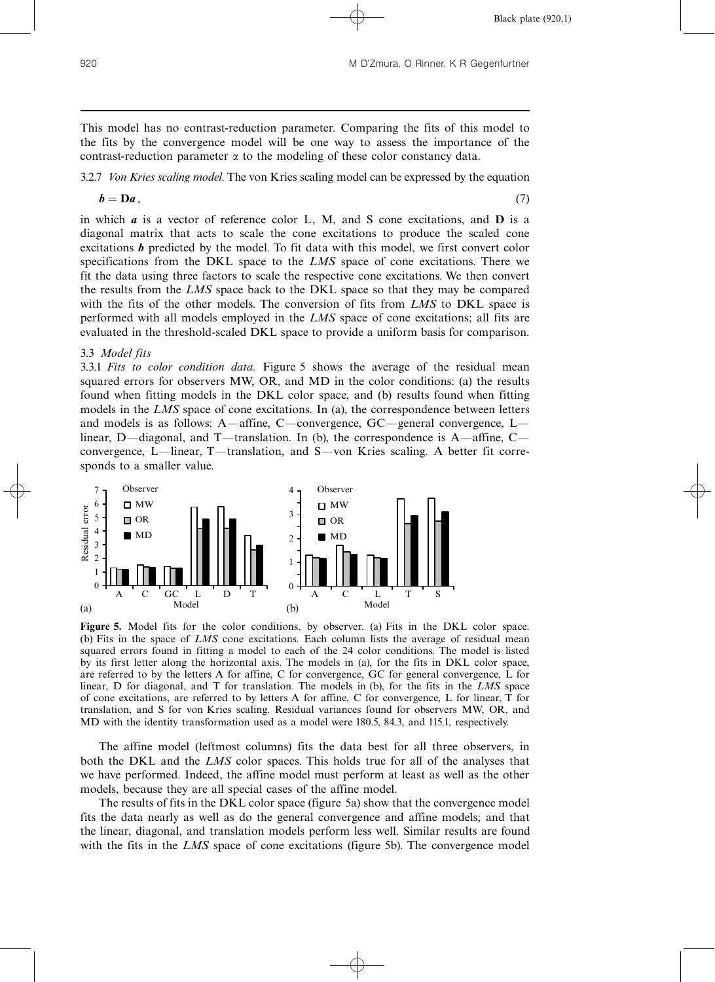This model has no contrast-reduction parameter. Comparing the fits of this model to the fits by the convergence model will be one way to assess the importance of the contrast-reduction parameter  $\alpha$  to the modeling of these color constancy data.

3.2.7 Von Kries scaling model. The von Kries scaling model can be expressed by the equation

$$
b = \mathbf{D}a,\tag{7}
$$

in which  $\boldsymbol{a}$  is a vector of reference color L, M, and S cone excitations, and  $\boldsymbol{D}$  is a diagonal matrix that acts to scale the cone excitations to produce the scaled cone excitations  **predicted by the model. To fit data with this model, we first convert color** specifications from the DKL space to the LMS space of cone excitations. There we fit the data using three factors to scale the respective cone excitations. We then convert the results from the LMS space back to the DKL space so that they may be compared with the fits of the other models. The conversion of fits from LMS to DKL space is performed with all models employed in the LMS space of cone excitations; all fits are evaluated in the threshold-scaled DKL space to provide a uniform basis for comparison.

## 3.3 Model fits

3.3.1 Fits to color condition data. Figure 5 shows the average of the residual mean squared errors for observers MW, OR, and MD in the color conditions: (a) the results found when fitting models in the DKL color space, and (b) results found when fitting models in the LMS space of cone excitations. In (a), the correspondence between letters and models is as follows: A—affine, C—convergence,  $GC$ —general convergence, L linear, D—diagonal, and T—translation. In (b), the correspondence is A—affine, C convergence, L—linear, T—translation, and S—von Kries scaling. A better fit corresponds to a smaller value.



Figure 5. Model fits for the color conditions, by observer. (a) Fits in the DKL color space. (b) Fits in the space of LMS cone excitations. Each column lists the average of residual mean squared errors found in fitting a model to each of the 24 color conditions. The model is listed by its first letter along the horizontal axis. The models in (a), for the fits in DKL color space, are referred to by the letters A for affine, C for convergence, GC for general convergence, L for linear, D for diagonal, and T for translation. The models in (b), for the fits in the LMS space of cone excitations, are referred to by letters A for affine, C for convergence, L for linear, T for translation, and S for von Kries scaling. Residual variances found for observers MW, OR, and MD with the identity transformation used as a model were 180.5, 84.3, and 115.1, respectively.

The affine model (leftmost columns) fits the data best for all three observers, in both the DKL and the LMS color spaces. This holds true for all of the analyses that we have performed. Indeed, the affine model must perform at least as well as the other models, because they are all special cases of the affine model.

The results of fits in the DKL color space (figure 5a) show that the convergence model fits the data nearly as well as do the general convergence and affine models; and that the linear, diagonal, and translation models perform less well. Similar results are found with the fits in the LMS space of cone excitations (figure 5b). The convergence model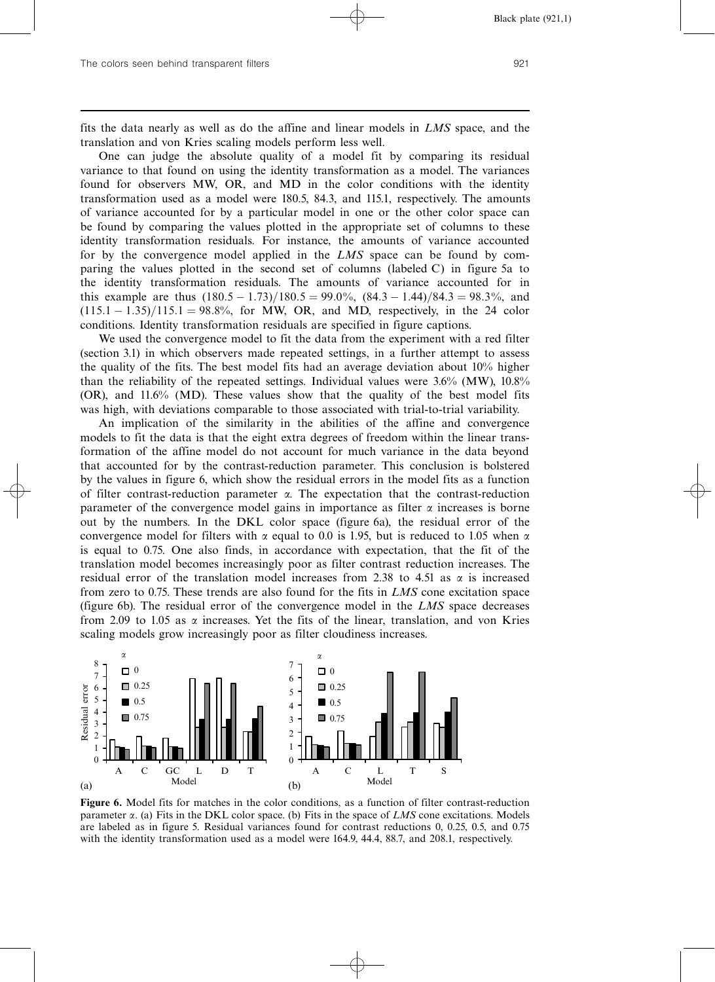fits the data nearly as well as do the affine and linear models in LMS space, and the translation and von Kries scaling models perform less well.

One can judge the absolute quality of a model fit by comparing its residual variance to that found on using the identity transformation as a model. The variances found for observers MW, OR, and MD in the color conditions with the identity transformation used as a model were 180.5, 84.3, and 115.1, respectively. The amounts of variance accounted for by a particular model in one or the other color space can be found by comparing the values plotted in the appropriate set of columns to these identity transformation residuals. For instance, the amounts of variance accounted for by the convergence model applied in the LMS space can be found by comparing the values plotted in the second set of columns (labeled C) in figure 5a to the identity transformation residuals. The amounts of variance accounted for in this example are thus  $(180.5 - 1.73)/180.5 = 99.0\%$ ,  $(84.3 - 1.44)/84.3 = 98.3\%$ , and  $(115.1 - 1.35)/115.1 = 98.8\%,$  for MW, OR, and MD, respectively, in the 24 color conditions. Identity transformation residuals are specified in figure captions.

We used the convergence model to fit the data from the experiment with a red filter (section 3.1) in which observers made repeated settings, in a further attempt to assess the quality of the fits. The best model fits had an average deviation about 10% higher than the reliability of the repeated settings. Individual values were 3.6% (MW), 10.8% (OR), and 11.6% (MD). These values show that the quality of the best model fits was high, with deviations comparable to those associated with trial-to-trial variability.

An implication of the similarity in the abilities of the affine and convergence models to fit the data is that the eight extra degrees of freedom within the linear transformation of the affine model do not account for much variance in the data beyond that accounted for by the contrast-reduction parameter. This conclusion is bolstered by the values in figure 6, which show the residual errors in the model fits as a function of filter contrast-reduction parameter  $\alpha$ . The expectation that the contrast-reduction parameter of the convergence model gains in importance as filter  $\alpha$  increases is borne out by the numbers. In the DKL color space (figure 6a), the residual error of the convergence model for filters with  $\alpha$  equal to 0.0 is 1.95, but is reduced to 1.05 when  $\alpha$ is equal to 0.75. One also finds, in accordance with expectation, that the fit of the translation model becomes increasingly poor as filter contrast reduction increases. The residual error of the translation model increases from 2.38 to 4.51 as  $\alpha$  is increased from zero to 0.75. These trends are also found for the fits in LMS cone excitation space (figure 6b). The residual error of the convergence model in the LMS space decreases from 2.09 to 1.05 as  $\alpha$  increases. Yet the fits of the linear, translation, and von Kries scaling models grow increasingly poor as filter cloudiness increases.



Figure 6. Model fits for matches in the color conditions, as a function of filter contrast-reduction parameter  $\alpha$ . (a) Fits in the DKL color space. (b) Fits in the space of LMS cone excitations. Models are labeled as in figure 5. Residual variances found for contrast reductions 0, 0.25, 0.5, and 0.75 with the identity transformation used as a model were 164.9, 44.4, 88.7, and 208.1, respectively.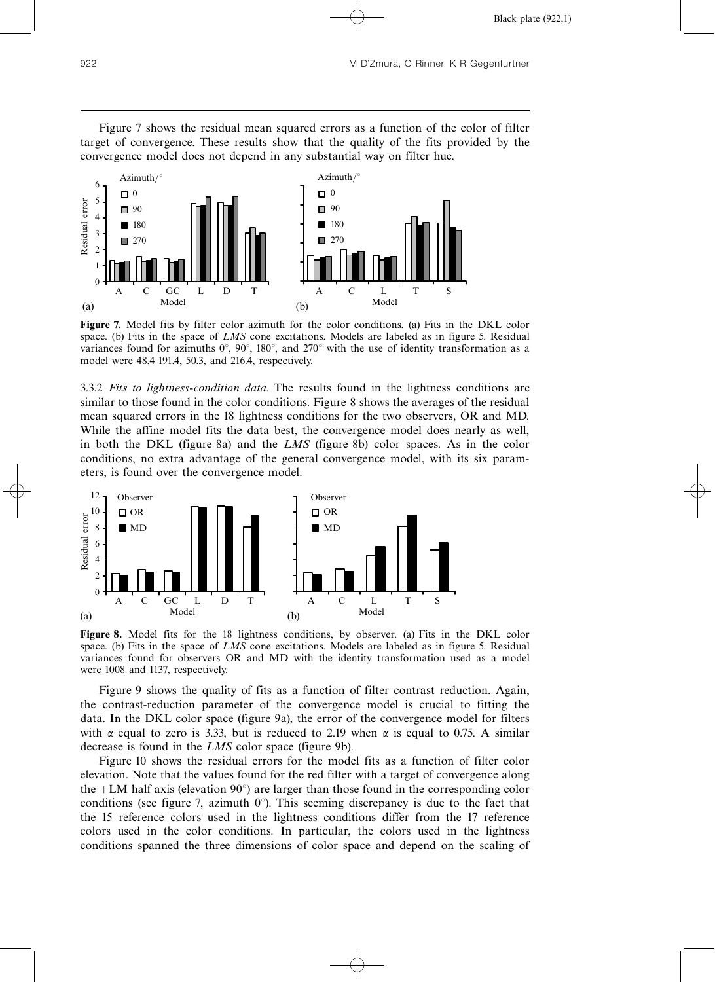



Figure 7. Model fits by filter color azimuth for the color conditions. (a) Fits in the DKL color space. (b) Fits in the space of LMS cone excitations. Models are labeled as in figure 5. Residual variances found for azimuths  $0^{\circ}$ ,  $90^{\circ}$ ,  $180^{\circ}$ , and  $270^{\circ}$  with the use of identity transformation as a model were 48.4 191.4, 50.3, and 216.4, respectively.

3.3.2 Fits to lightness-condition data. The results found in the lightness conditions are similar to those found in the color conditions. Figure 8 shows the averages of the residual mean squared errors in the 18 lightness conditions for the two observers, OR and MD. While the affine model fits the data best, the convergence model does nearly as well, in both the DKL (figure 8a) and the LMS (figure 8b) color spaces. As in the color conditions, no extra advantage of the general convergence model, with its six parameters, is found over the convergence model.



Figure 8. Model fits for the 18 lightness conditions, by observer. (a) Fits in the DKL color space. (b) Fits in the space of LMS cone excitations. Models are labeled as in figure 5. Residual variances found for observers OR and MD with the identity transformation used as a model were 1008 and 1137, respectively.

Figure 9 shows the quality of fits as a function of filter contrast reduction. Again, the contrast-reduction parameter of the convergence model is crucial to fitting the data. In the DKL color space (figure 9a), the error of the convergence model for filters with  $\alpha$  equal to zero is 3.33, but is reduced to 2.19 when  $\alpha$  is equal to 0.75. A similar decrease is found in the LMS color space (figure 9b).

Figure 10 shows the residual errors for the model fits as a function of filter color elevation. Note that the values found for the red filter with a target of convergence along the  $+LM$  half axis (elevation  $90^{\circ}$ ) are larger than those found in the corresponding color conditions (see figure 7, azimuth  $0^{\circ}$ ). This seeming discrepancy is due to the fact that the 15 reference colors used in the lightness conditions differ from the 17 reference colors used in the color conditions. In particular, the colors used in the lightness conditions spanned the three dimensions of color space and depend on the scaling of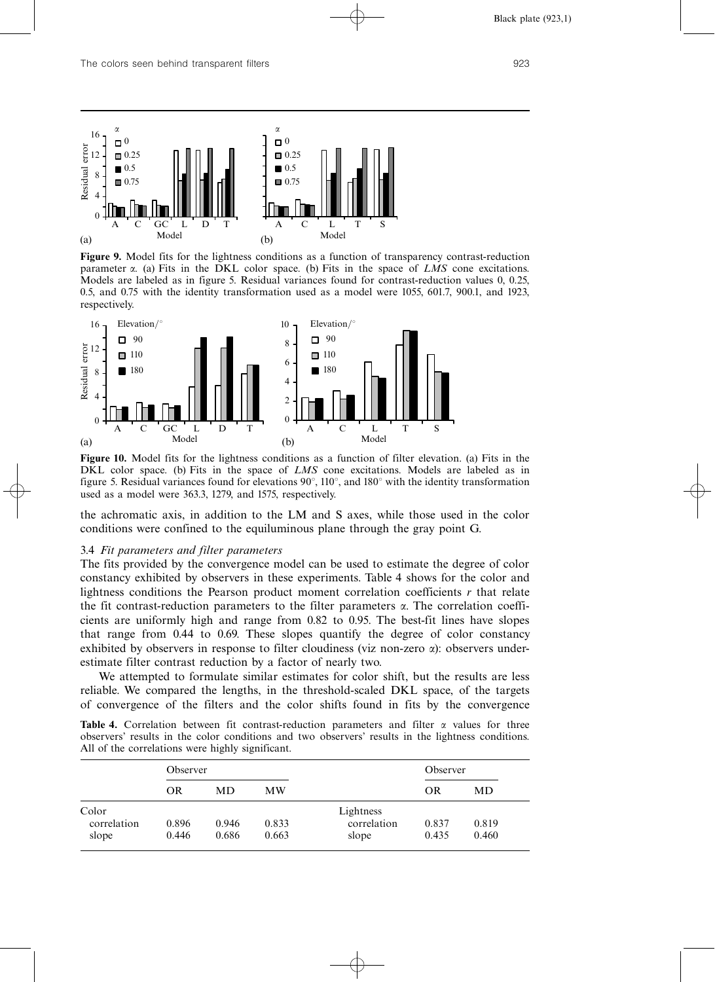

Figure 9. Model fits for the lightness conditions as a function of transparency contrast-reduction parameter  $\alpha$ . (a) Fits in the DKL color space. (b) Fits in the space of LMS cone excitations. Models are labeled as in figure 5. Residual variances found for contrast-reduction values 0, 0.25, 0.5, and 0.75 with the identity transformation used as a model were 1055, 601.7, 900.1, and 1923, respectively.



Figure 10. Model fits for the lightness conditions as a function of filter elevation. (a) Fits in the DKL color space. (b) Fits in the space of LMS cone excitations. Models are labeled as in figure 5. Residual variances found for elevations  $90^{\circ}$ ,  $110^{\circ}$ , and  $180^{\circ}$  with the identity transformation used as a model were 363.3, 1279, and 1575, respectively.

the achromatic axis, in addition to the LM and S axes, while those used in the color conditions were confined to the equiluminous plane through the gray point G.

#### 3.4 Fit parameters and filter parameters

The fits provided by the convergence model can be used to estimate the degree of color constancy exhibited by observers in these experiments. Table 4 shows for the color and lightness conditions the Pearson product moment correlation coefficients r that relate the fit contrast-reduction parameters to the filter parameters  $\alpha$ . The correlation coefficients are uniformly high and range from 0.82 to 0.95. The best-fit lines have slopes that range from 0.44 to 0.69. These slopes quantify the degree of color constancy exhibited by observers in response to filter cloudiness (viz non-zero  $\alpha$ ): observers underestimate filter contrast reduction by a factor of nearly two.

We attempted to formulate similar estimates for color shift, but the results are less reliable. We compared the lengths, in the threshold-scaled DKL space, of the targets of convergence of the filters and the color shifts found in fits by the convergence

| <b>Table 4.</b> Correlation between fit contrast-reduction parameters and filter $\alpha$ values for three |  |  |  |  |  |  |
|------------------------------------------------------------------------------------------------------------|--|--|--|--|--|--|
| observers' results in the color conditions and two observers' results in the lightness conditions.         |  |  |  |  |  |  |
| All of the correlations were highly significant.                                                           |  |  |  |  |  |  |

|             | Observer |       |       |             | Observer  |       |
|-------------|----------|-------|-------|-------------|-----------|-------|
|             | OR       | MD    | MW    |             | <b>OR</b> | MD    |
| Color       |          |       |       | Lightness   |           |       |
| correlation | 0.896    | 0.946 | 0.833 | correlation | 0.837     | 0.819 |
| slope       | 0.446    | 0.686 | 0.663 | slope       | 0.435     | 0.460 |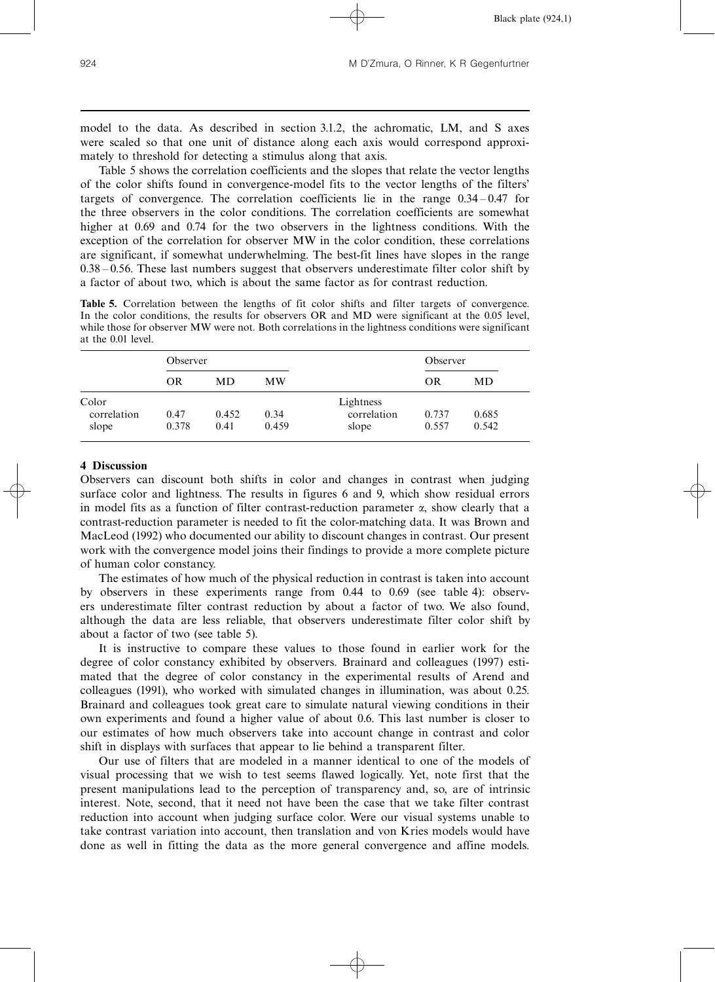model to the data. As described in section 3.1.2, the achromatic, LM, and S axes were scaled so that one unit of distance along each axis would correspond approximately to threshold for detecting a stimulus along that axis.

Table 5 shows the correlation coefficients and the slopes that relate the vector lengths of the color shifts found in convergence-model fits to the vector lengths of the filters' targets of convergence. The correlation coefficients lie in the range  $0.34 - 0.47$  for the three observers in the color conditions. The correlation coefficients are somewhat higher at 0.69 and 0.74 for the two observers in the lightness conditions. With the exception of the correlation for observer MW in the color condition, these correlations are significant, if somewhat underwhelming. The best-fit lines have slopes in the range  $0.38 - 0.56$ . These last numbers suggest that observers underestimate filter color shift by a factor of about two, which is about the same factor as for contrast reduction.

Table 5. Correlation between the lengths of fit color shifts and filter targets of convergence. In the color conditions, the results for observers OR and MD were significant at the 0.05 level, while those for observer MW were not. Both correlations in the lightness conditions were significant at the 0.01 level.

|                      | Observer |       |       |                          | Observer |       |
|----------------------|----------|-------|-------|--------------------------|----------|-------|
|                      | OR       | MD    | МW    |                          | OR       | MD    |
| Color<br>correlation | 0.47     | 0.452 | 0.34  | Lightness<br>correlation | 0.737    | 0.685 |
| slope                | 0.378    | 0.41  | 0.459 | slope                    | 0.557    | 0.542 |

### 4 Discussion

Observers can discount both shifts in color and changes in contrast when judging surface color and lightness. The results in figures 6 and 9, which show residual errors in model fits as a function of filter contrast-reduction parameter  $\alpha$ , show clearly that a contrast-reduction parameter is needed to fit the color-matching data. It was Brown and MacLeod (1992) who documented our ability to discount changes in contrast. Our present work with the convergence model joins their findings to provide a more complete picture of human color constancy.

The estimates of how much of the physical reduction in contrast is taken into account by observers in these experiments range from 0.44 to 0.69 (see table 4): observers underestimate filter contrast reduction by about a factor of two. We also found, although the data are less reliable, that observers underestimate filter color shift by about a factor of two (see table 5).

It is instructive to compare these values to those found in earlier work for the degree of color constancy exhibited by observers. Brainard and colleagues (1997) estimated that the degree of color constancy in the experimental results of Arend and colleagues (1991), who worked with simulated changes in illumination, was about 0.25. Brainard and colleagues took great care to simulate natural viewing conditions in their own experiments and found a higher value of about 0.6. This last number is closer to our estimates of how much observers take into account change in contrast and color shift in displays with surfaces that appear to lie behind a transparent filter.

Our use of filters that are modeled in a manner identical to one of the models of visual processing that we wish to test seems flawed logically. Yet, note first that the present manipulations lead to the perception of transparency and, so, are of intrinsic interest. Note, second, that it need not have been the case that we take filter contrast reduction into account when judging surface color. Were our visual systems unable to take contrast variation into account, then translation and von Kries models would have done as well in fitting the data as the more general convergence and affine models.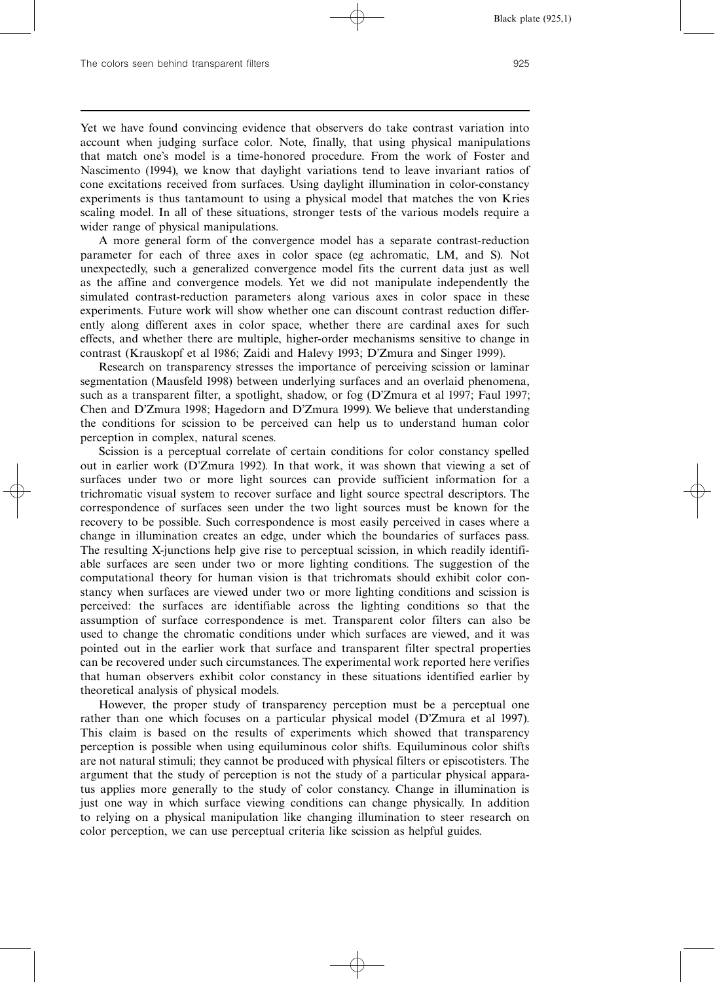Yet we have found convincing evidence that observers do take contrast variation into account when judging surface color. Note, finally, that using physical manipulations that match one's model is a time-honored procedure. From the work of Foster and Nascimento (1994), we know that daylight variations tend to leave invariant ratios of cone excitations received from surfaces. Using daylight illumination in color-constancy experiments is thus tantamount to using a physical model that matches the von Kries scaling model. In all of these situations, stronger tests of the various models require a wider range of physical manipulations.

A more general form of the convergence model has a separate contrast-reduction parameter for each of three axes in color space (eg achromatic, LM, and S). Not unexpectedly, such a generalized convergence model fits the current data just as well as the affine and convergence models. Yet we did not manipulate independently the simulated contrast-reduction parameters along various axes in color space in these experiments. Future work will show whether one can discount contrast reduction differently along different axes in color space, whether there are cardinal axes for such effects, and whether there are multiple, higher-order mechanisms sensitive to change in contrast (Krauskopf et al 1986; Zaidi and Halevy 1993; D'Zmura and Singer 1999).

Research on transparency stresses the importance of perceiving scission or laminar segmentation (Mausfeld 1998) between underlying surfaces and an overlaid phenomena, such as a transparent filter, a spotlight, shadow, or fog (D'Zmura et al 1997; Faul 1997; Chen and D'Zmura 1998; Hagedorn and D'Zmura 1999). We believe that understanding the conditions for scission to be perceived can help us to understand human color perception in complex, natural scenes.

Scission is a perceptual correlate of certain conditions for color constancy spelled out in earlier work (D'Zmura 1992). In that work, it was shown that viewing a set of surfaces under two or more light sources can provide sufficient information for a trichromatic visual system to recover surface and light source spectral descriptors. The correspondence of surfaces seen under the two light sources must be known for the recovery to be possible. Such correspondence is most easily perceived in cases where a change in illumination creates an edge, under which the boundaries of surfaces pass. The resulting X-junctions help give rise to perceptual scission, in which readily identifiable surfaces are seen under two or more lighting conditions. The suggestion of the computational theory for human vision is that trichromats should exhibit color constancy when surfaces are viewed under two or more lighting conditions and scission is perceived: the surfaces are identifiable across the lighting conditions so that the assumption of surface correspondence is met. Transparent color filters can also be used to change the chromatic conditions under which surfaces are viewed, and it was pointed out in the earlier work that surface and transparent filter spectral properties can be recovered under such circumstances. The experimental work reported here verifies that human observers exhibit color constancy in these situations identified earlier by theoretical analysis of physical models.

However, the proper study of transparency perception must be a perceptual one rather than one which focuses on a particular physical model (D'Zmura et al 1997). This claim is based on the results of experiments which showed that transparency perception is possible when using equiluminous color shifts. Equiluminous color shifts are not natural stimuli; they cannot be produced with physical filters or episcotisters. The argument that the study of perception is not the study of a particular physical apparatus applies more generally to the study of color constancy. Change in illumination is just one way in which surface viewing conditions can change physically. In addition to relying on a physical manipulation like changing illumination to steer research on color perception, we can use perceptual criteria like scission as helpful guides.